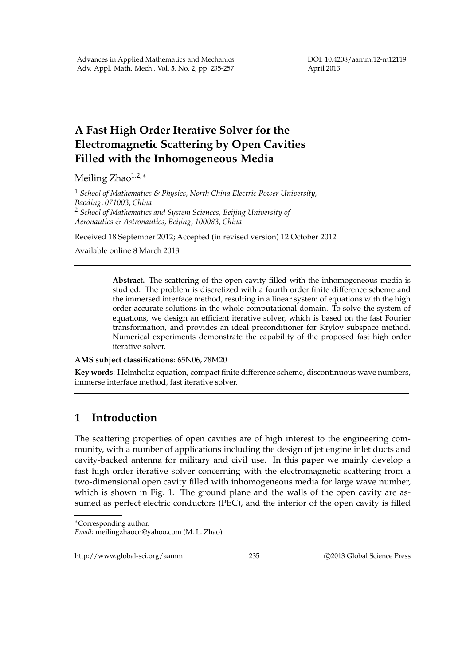DOI: 10.4208/aamm.12-m12119 April 2013

## **A Fast High Order Iterative Solver for the Electromagnetic Scattering by Open Cavities Filled with the Inhomogeneous Media**

Meiling Zhao<sup>1,2,∗</sup>

<sup>1</sup> *School of Mathematics & Physics, North China Electric Power University, Baoding, 071003, China* <sup>2</sup> *School of Mathematics and System Sciences, Beijing University of Aeronautics & Astronautics, Beijing, 100083, China*

Received 18 September 2012; Accepted (in revised version) 12 October 2012

Available online 8 March 2013

**Abstract.** The scattering of the open cavity filled with the inhomogeneous media is studied. The problem is discretized with a fourth order finite difference scheme and the immersed interface method, resulting in a linear system of equations with the high order accurate solutions in the whole computational domain. To solve the system of equations, we design an efficient iterative solver, which is based on the fast Fourier transformation, and provides an ideal preconditioner for Krylov subspace method. Numerical experiments demonstrate the capability of the proposed fast high order iterative solver.

**AMS subject classifications**: 65N06, 78M20

**Key words**: Helmholtz equation, compact finite difference scheme, discontinuous wave numbers, immerse interface method, fast iterative solver.

## **1 Introduction**

The scattering properties of open cavities are of high interest to the engineering community, with a number of applications including the design of jet engine inlet ducts and cavity-backed antenna for military and civil use. In this paper we mainly develop a fast high order iterative solver concerning with the electromagnetic scattering from a two-dimensional open cavity filled with inhomogeneous media for large wave number, which is shown in Fig. 1. The ground plane and the walls of the open cavity are assumed as perfect electric conductors (PEC), and the interior of the open cavity is filled

http://www.global-sci.org/aamm 235 © 2013 Global Science Press

<sup>∗</sup>Corresponding author.

*Email:* meilingzhaocn@yahoo.com (M. L. Zhao)